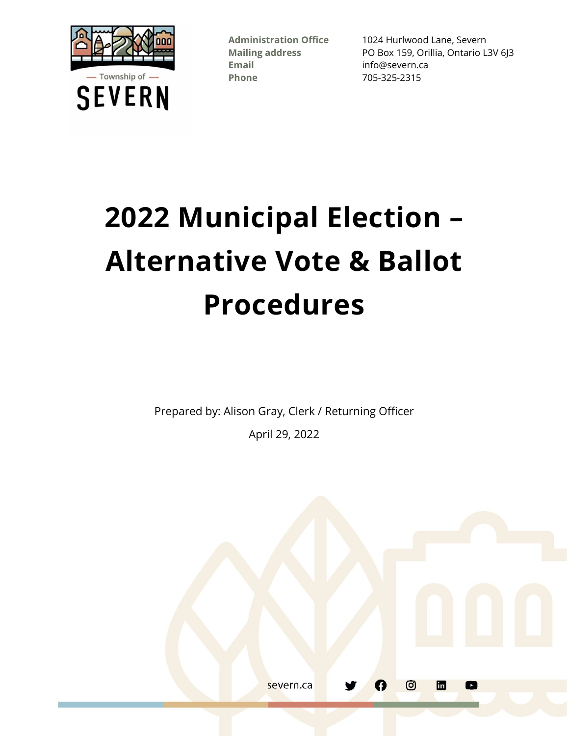

**Email** info@severn.ca **Phone** 705-325-2315

**Administration Office** 1024 Hurlwood Lane, Severn **Mailing address** PO Box 159, Orillia, Ontario L3V 6J3

# **2022 Municipal Election – Alternative Vote & Ballot Procedures**

Prepared by: Alison Gray, Clerk / Returning Officer

April 29, 2022

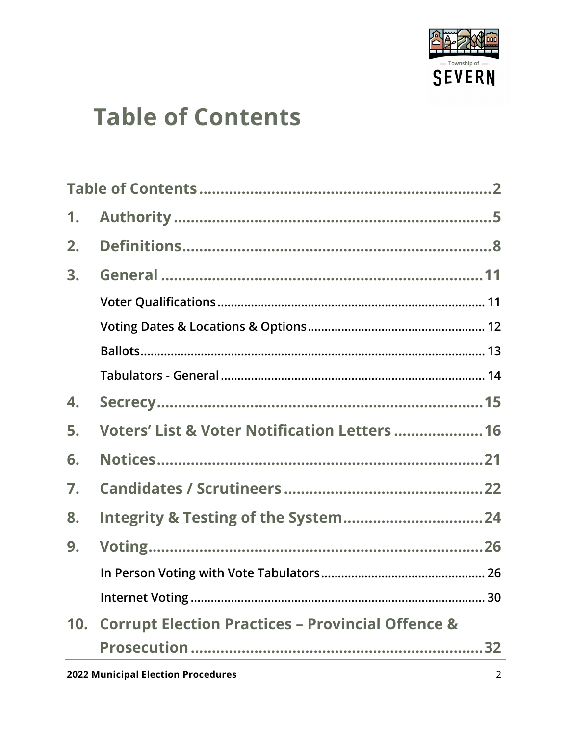

### <span id="page-1-0"></span>**Table of Contents**

| 1.  |                                                              |
|-----|--------------------------------------------------------------|
| 2.  |                                                              |
| 3.  |                                                              |
|     |                                                              |
|     |                                                              |
|     |                                                              |
|     |                                                              |
| 4.  |                                                              |
| 5.  | <b>Voters' List &amp; Voter Notification Letters  16</b>     |
| 6.  |                                                              |
| 7.  |                                                              |
| 8.  |                                                              |
| 9.  |                                                              |
|     |                                                              |
|     |                                                              |
| 10. | <b>Corrupt Election Practices - Provincial Offence &amp;</b> |
|     |                                                              |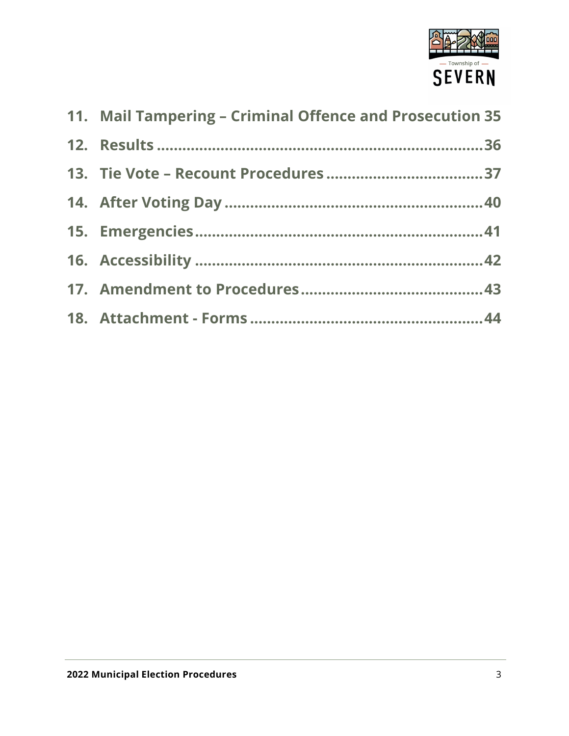

| 11. Mail Tampering - Criminal Offence and Prosecution 35 |  |
|----------------------------------------------------------|--|
|                                                          |  |
|                                                          |  |
|                                                          |  |
|                                                          |  |
|                                                          |  |
|                                                          |  |
|                                                          |  |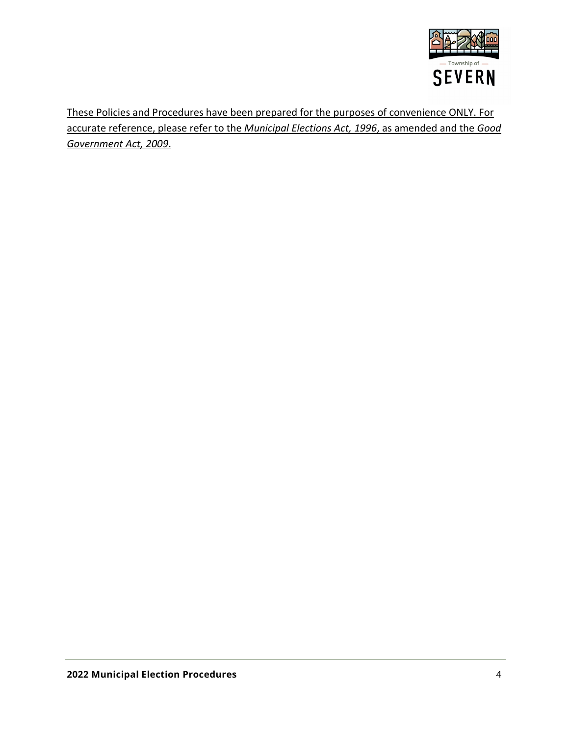

These Policies and Procedures have been prepared for the purposes of convenience ONLY. For accurate reference, please refer to the *Municipal Elections Act, 1996*, as amended and the *Good Government Act, 2009*.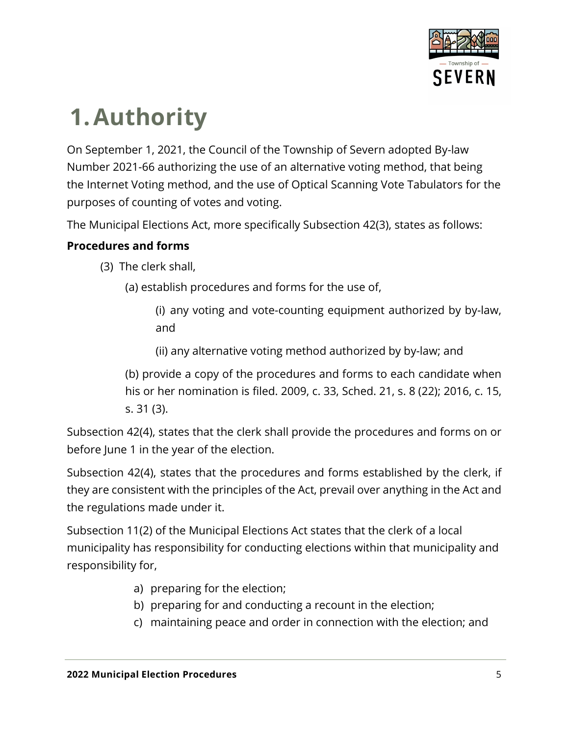

## <span id="page-4-0"></span>**1.Authority**

On September 1, 2021, the Council of the Township of Severn adopted By-law Number 2021-66 authorizing the use of an alternative voting method, that being the Internet Voting method, and the use of Optical Scanning Vote Tabulators for the purposes of counting of votes and voting.

The Municipal Elections Act, more specifically Subsection 42(3), states as follows:

### **Procedures and forms**

- (3) The clerk shall,
	- (a) establish procedures and forms for the use of,
		- (i) any voting and vote-counting equipment authorized by by-law, and
		- (ii) any alternative voting method authorized by by-law; and
	- (b) provide a copy of the procedures and forms to each candidate when his or her nomination is filed. 2009, c. 33, Sched. 21, s. 8 (22); 2016, c. 15, s. 31 (3).

Subsection 42(4), states that the clerk shall provide the procedures and forms on or before June 1 in the year of the election.

Subsection 42(4), states that the procedures and forms established by the clerk, if they are consistent with the principles of the Act, prevail over anything in the Act and the regulations made under it.

Subsection 11(2) of the Municipal Elections Act states that the clerk of a local municipality has responsibility for conducting elections within that municipality and responsibility for,

- a) preparing for the election;
- b) preparing for and conducting a recount in the election;
- c) maintaining peace and order in connection with the election; and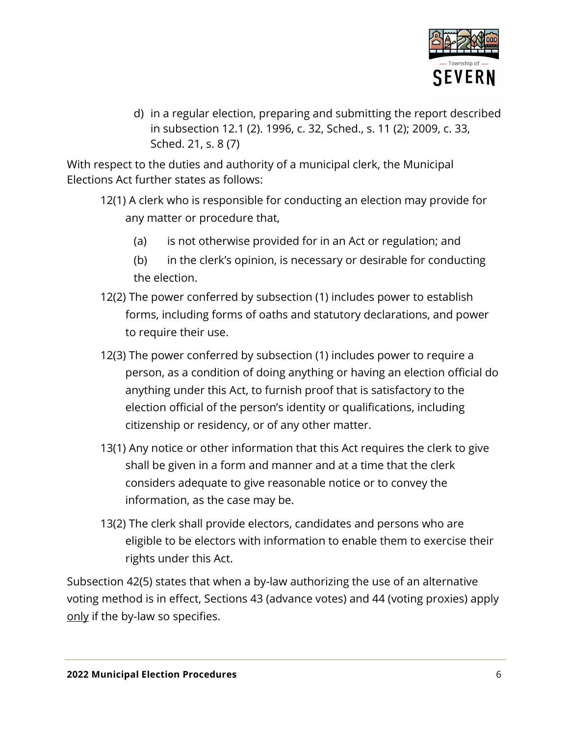

d) in a regular election, preparing and submitting the report described in subsection 12.1 (2). 1996, c. 32, Sched., s. 11 (2); 2009, c. 33, Sched. 21, s. 8 (7)

With respect to the duties and authority of a municipal clerk, the Municipal Elections Act further states as follows:

- 12(1) A clerk who is responsible for conducting an election may provide for any matter or procedure that,
	- (a) is not otherwise provided for in an Act or regulation; and
	- (b) in the clerk's opinion, is necessary or desirable for conducting the election.
- 12(2) The power conferred by subsection (1) includes power to establish forms, including forms of oaths and statutory declarations, and power to require their use.
- 12(3) The power conferred by subsection (1) includes power to require a person, as a condition of doing anything or having an election official do anything under this Act, to furnish proof that is satisfactory to the election official of the person's identity or qualifications, including citizenship or residency, or of any other matter.
- 13(1) Any notice or other information that this Act requires the clerk to give shall be given in a form and manner and at a time that the clerk considers adequate to give reasonable notice or to convey the information, as the case may be.
- 13(2) The clerk shall provide electors, candidates and persons who are eligible to be electors with information to enable them to exercise their rights under this Act.

Subsection 42(5) states that when a by-law authorizing the use of an alternative voting method is in effect, Sections 43 (advance votes) and 44 (voting proxies) apply only if the by-law so specifies.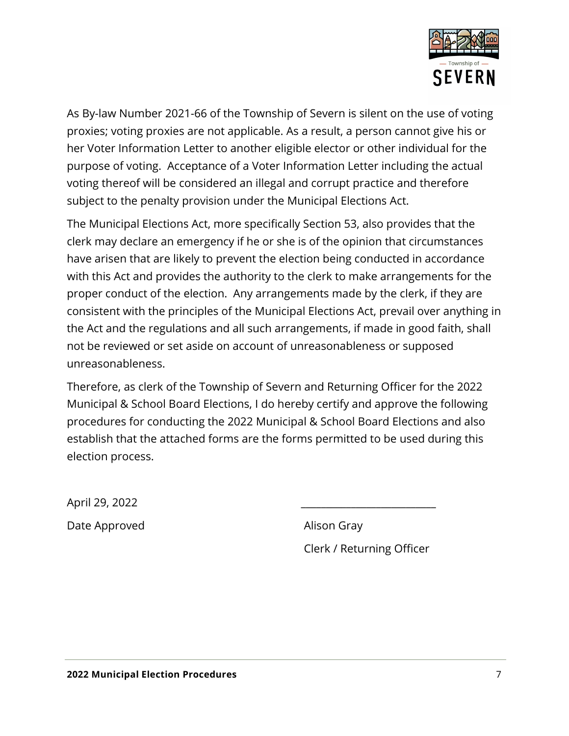

As By-law Number 2021-66 of the Township of Severn is silent on the use of voting proxies; voting proxies are not applicable. As a result, a person cannot give his or her Voter Information Letter to another eligible elector or other individual for the purpose of voting. Acceptance of a Voter Information Letter including the actual voting thereof will be considered an illegal and corrupt practice and therefore subject to the penalty provision under the Municipal Elections Act.

The Municipal Elections Act, more specifically Section 53, also provides that the clerk may declare an emergency if he or she is of the opinion that circumstances have arisen that are likely to prevent the election being conducted in accordance with this Act and provides the authority to the clerk to make arrangements for the proper conduct of the election. Any arrangements made by the clerk, if they are consistent with the principles of the Municipal Elections Act, prevail over anything in the Act and the regulations and all such arrangements, if made in good faith, shall not be reviewed or set aside on account of unreasonableness or supposed unreasonableness.

Therefore, as clerk of the Township of Severn and Returning Officer for the 2022 Municipal & School Board Elections, I do hereby certify and approve the following procedures for conducting the 2022 Municipal & School Board Elections and also establish that the attached forms are the forms permitted to be used during this election process.

April 29, 2022 \_\_\_\_\_\_\_\_\_\_\_\_\_\_\_\_\_\_\_\_\_\_\_\_\_\_\_ Date Approved and Alison Gray

Clerk / Returning Officer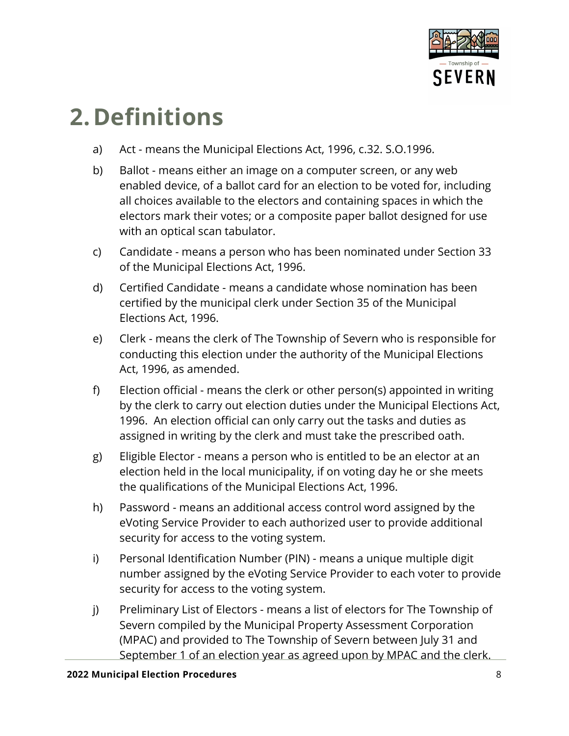

### <span id="page-7-0"></span>**2.Definitions**

- a) Act means the Municipal Elections Act, 1996, c.32. S.O.1996.
- b) Ballot means either an image on a computer screen, or any web enabled device, of a ballot card for an election to be voted for, including all choices available to the electors and containing spaces in which the electors mark their votes; or a composite paper ballot designed for use with an optical scan tabulator.
- c) Candidate means a person who has been nominated under Section 33 of the Municipal Elections Act, 1996.
- d) Certified Candidate means a candidate whose nomination has been certified by the municipal clerk under Section 35 of the Municipal Elections Act, 1996.
- e) Clerk means the clerk of The Township of Severn who is responsible for conducting this election under the authority of the Municipal Elections Act, 1996, as amended.
- f) Election official means the clerk or other person(s) appointed in writing by the clerk to carry out election duties under the Municipal Elections Act, 1996. An election official can only carry out the tasks and duties as assigned in writing by the clerk and must take the prescribed oath.
- g) Eligible Elector means a person who is entitled to be an elector at an election held in the local municipality, if on voting day he or she meets the qualifications of the Municipal Elections Act, 1996.
- h) Password means an additional access control word assigned by the eVoting Service Provider to each authorized user to provide additional security for access to the voting system.
- i) Personal Identification Number (PIN) means a unique multiple digit number assigned by the eVoting Service Provider to each voter to provide security for access to the voting system.
- j) Preliminary List of Electors means a list of electors for The Township of Severn compiled by the Municipal Property Assessment Corporation (MPAC) and provided to The Township of Severn between July 31 and September 1 of an election year as agreed upon by MPAC and the clerk.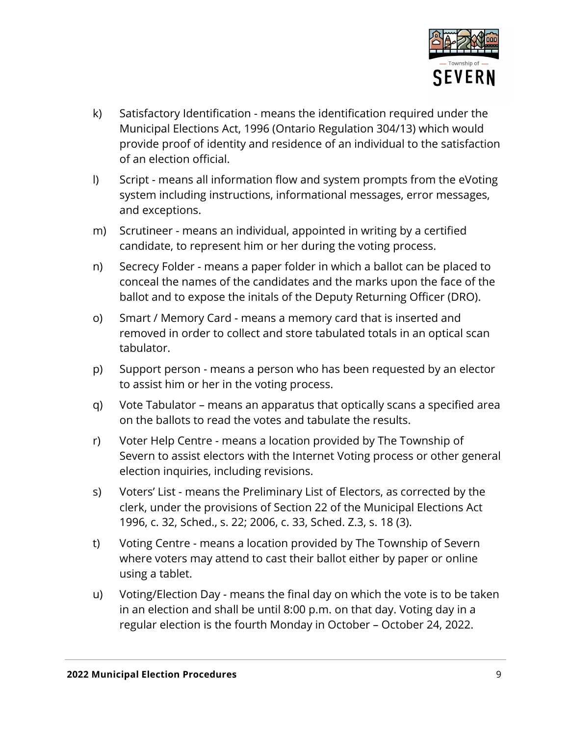

- k) Satisfactory Identification means the identification required under the Municipal Elections Act, 1996 (Ontario Regulation 304/13) which would provide proof of identity and residence of an individual to the satisfaction of an election official.
- l) Script means all information flow and system prompts from the eVoting system including instructions, informational messages, error messages, and exceptions.
- m) Scrutineer means an individual, appointed in writing by a certified candidate, to represent him or her during the voting process.
- n) Secrecy Folder means a paper folder in which a ballot can be placed to conceal the names of the candidates and the marks upon the face of the ballot and to expose the initals of the Deputy Returning Officer (DRO).
- o) Smart / Memory Card means a memory card that is inserted and removed in order to collect and store tabulated totals in an optical scan tabulator.
- p) Support person means a person who has been requested by an elector to assist him or her in the voting process.
- q) Vote Tabulator means an apparatus that optically scans a specified area on the ballots to read the votes and tabulate the results.
- r) Voter Help Centre means a location provided by The Township of Severn to assist electors with the Internet Voting process or other general election inquiries, including revisions.
- s) Voters' List means the Preliminary List of Electors, as corrected by the clerk, under the provisions of Section 22 of the Municipal Elections Act 1996, c. 32, Sched., s. 22; 2006, c. 33, Sched. Z.3, s. 18 (3).
- t) Voting Centre means a location provided by The Township of Severn where voters may attend to cast their ballot either by paper or online using a tablet.
- u) Voting/Election Day means the final day on which the vote is to be taken in an election and shall be until 8:00 p.m. on that day. Voting day in a regular election is the fourth Monday in October – October 24, 2022.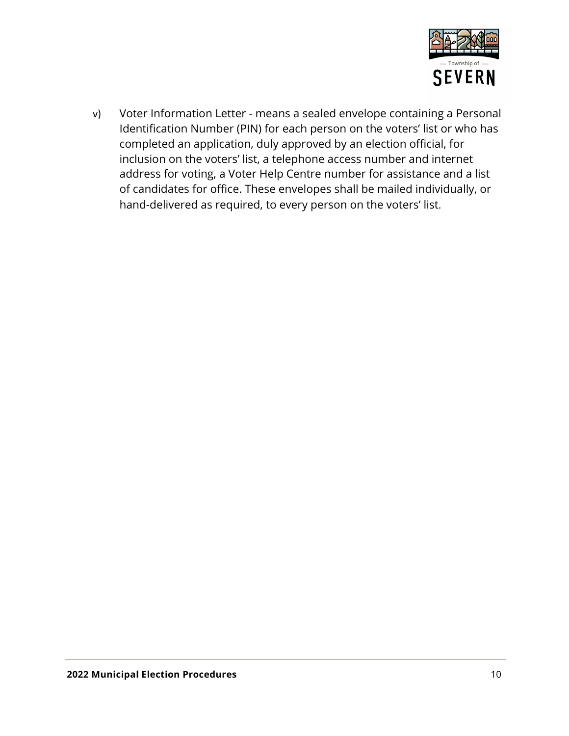

v) Voter Information Letter - means a sealed envelope containing a Personal Identification Number (PIN) for each person on the voters' list or who has completed an application, duly approved by an election official, for inclusion on the voters' list, a telephone access number and internet address for voting, a Voter Help Centre number for assistance and a list of candidates for office. These envelopes shall be mailed individually, or hand-delivered as required, to every person on the voters' list.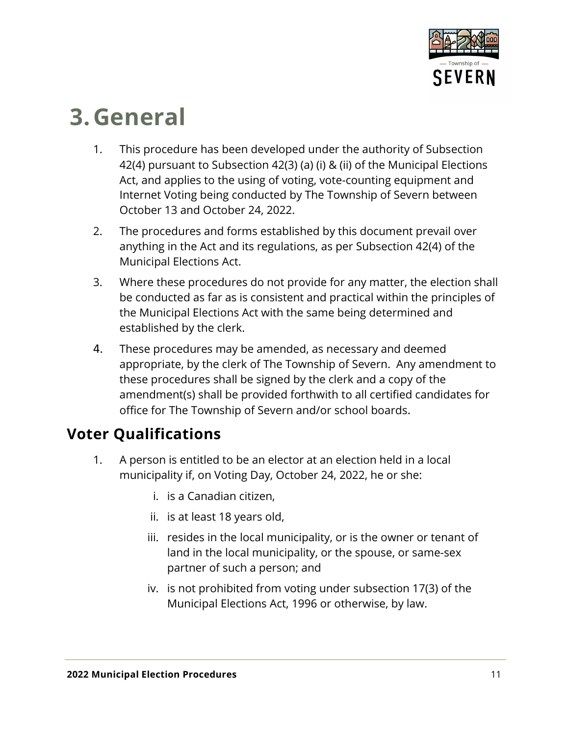

### <span id="page-10-0"></span>**3.General**

- 1. This procedure has been developed under the authority of Subsection 42(4) pursuant to Subsection 42(3) (a) (i) & (ii) of the Municipal Elections Act, and applies to the using of voting, vote-counting equipment and Internet Voting being conducted by The Township of Severn between October 13 and October 24, 2022.
- 2. The procedures and forms established by this document prevail over anything in the Act and its regulations, as per Subsection 42(4) of the Municipal Elections Act.
- 3. Where these procedures do not provide for any matter, the election shall be conducted as far as is consistent and practical within the principles of the Municipal Elections Act with the same being determined and established by the clerk.
- 4. These procedures may be amended, as necessary and deemed appropriate, by the clerk of The Township of Severn. Any amendment to these procedures shall be signed by the clerk and a copy of the amendment(s) shall be provided forthwith to all certified candidates for office for The Township of Severn and/or school boards.

### <span id="page-10-1"></span>**Voter Qualifications**

- 1. A person is entitled to be an elector at an election held in a local municipality if, on Voting Day, October 24, 2022, he or she:
	- i. is a Canadian citizen,
	- ii. is at least 18 years old,
	- iii. resides in the local municipality, or is the owner or tenant of land in the local municipality, or the spouse, or same-sex partner of such a person; and
	- iv. is not prohibited from voting under subsection 17(3) of the Municipal Elections Act, 1996 or otherwise, by law.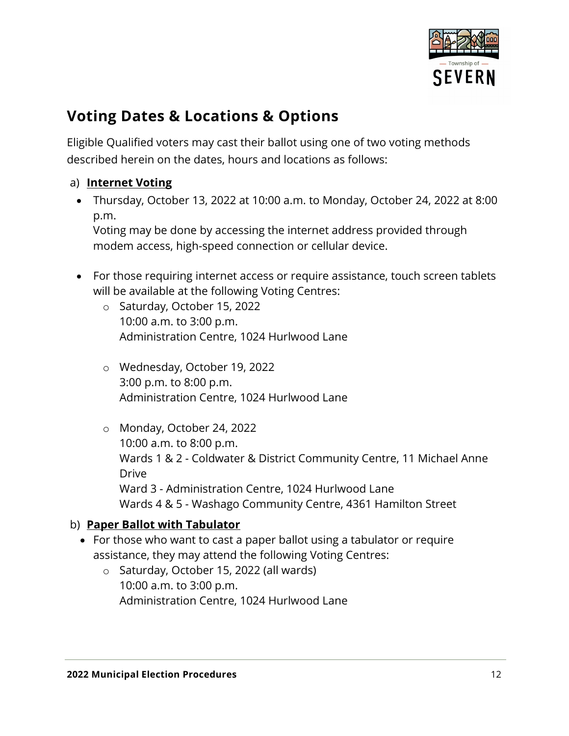

### <span id="page-11-0"></span>**Voting Dates & Locations & Options**

Eligible Qualified voters may cast their ballot using one of two voting methods described herein on the dates, hours and locations as follows:

#### a) **Internet Voting**

• Thursday, October 13, 2022 at 10:00 a.m. to Monday, October 24, 2022 at 8:00 p.m.

Voting may be done by accessing the internet address provided through modem access, high-speed connection or cellular device.

- For those requiring internet access or require assistance, touch screen tablets will be available at the following Voting Centres:
	- o Saturday, October 15, 2022 10:00 a.m. to 3:00 p.m. Administration Centre, 1024 Hurlwood Lane
	- o Wednesday, October 19, 2022 3:00 p.m. to 8:00 p.m. Administration Centre, 1024 Hurlwood Lane
	- o Monday, October 24, 2022 10:00 a.m. to 8:00 p.m. Wards 1 & 2 - Coldwater & District Community Centre, 11 Michael Anne Drive Ward 3 - Administration Centre, 1024 Hurlwood Lane Wards 4 & 5 - Washago Community Centre, 4361 Hamilton Street

### b) **Paper Ballot with Tabulator**

- For those who want to cast a paper ballot using a tabulator or require assistance, they may attend the following Voting Centres:
	- o Saturday, October 15, 2022 (all wards) 10:00 a.m. to 3:00 p.m. Administration Centre, 1024 Hurlwood Lane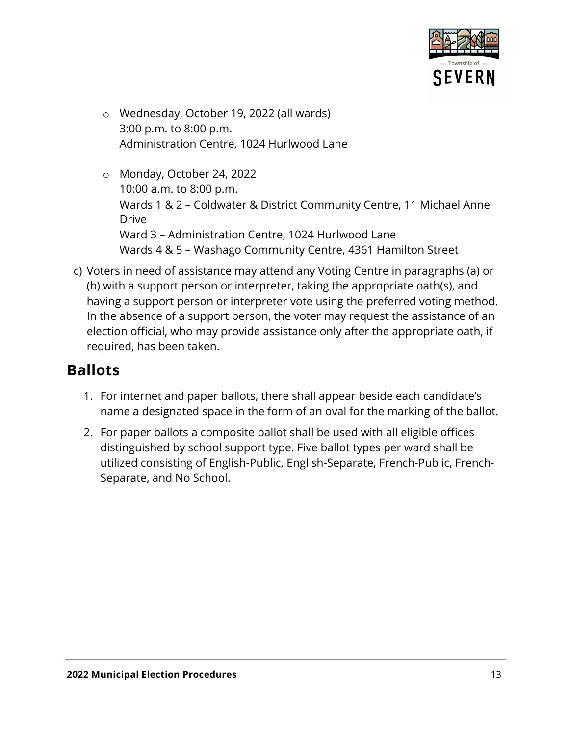

- o Wednesday, October 19, 2022 (all wards) 3:00 p.m. to 8:00 p.m. Administration Centre, 1024 Hurlwood Lane
- o Monday, October 24, 2022 10:00 a.m. to 8:00 p.m. Wards 1 & 2 – Coldwater & District Community Centre, 11 Michael Anne Drive Ward 3 – Administration Centre, 1024 Hurlwood Lane Wards 4 & 5 – Washago Community Centre, 4361 Hamilton Street
- c) Voters in need of assistance may attend any Voting Centre in paragraphs (a) or (b) with a support person or interpreter, taking the appropriate oath(s), and having a support person or interpreter vote using the preferred voting method. In the absence of a support person, the voter may request the assistance of an election official, who may provide assistance only after the appropriate oath, if required, has been taken.

### <span id="page-12-0"></span>**Ballots**

- 1. For internet and paper ballots, there shall appear beside each candidate's name a designated space in the form of an oval for the marking of the ballot.
- 2. For paper ballots a composite ballot shall be used with all eligible offices distinguished by school support type. Five ballot types per ward shall be utilized consisting of English-Public, English-Separate, French-Public, French-Separate, and No School.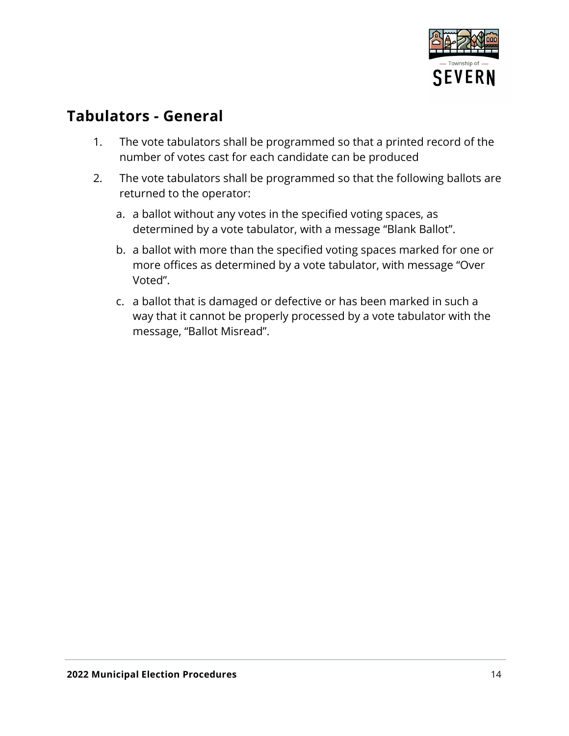

### <span id="page-13-0"></span>**Tabulators - General**

- 1. The vote tabulators shall be programmed so that a printed record of the number of votes cast for each candidate can be produced
- 2. The vote tabulators shall be programmed so that the following ballots are returned to the operator:
	- a. a ballot without any votes in the specified voting spaces, as determined by a vote tabulator, with a message "Blank Ballot".
	- b. a ballot with more than the specified voting spaces marked for one or more offices as determined by a vote tabulator, with message "Over Voted".
	- c. a ballot that is damaged or defective or has been marked in such a way that it cannot be properly processed by a vote tabulator with the message, "Ballot Misread".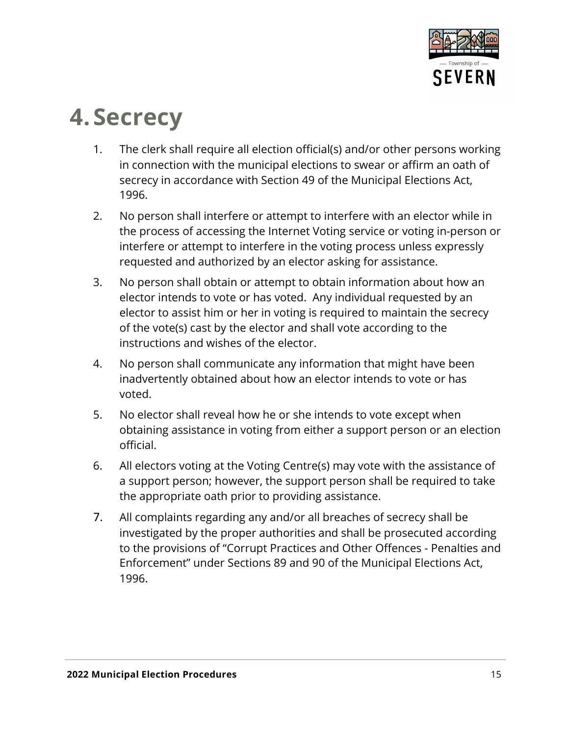

### <span id="page-14-0"></span>**4.Secrecy**

- 1. The clerk shall require all election official(s) and/or other persons working in connection with the municipal elections to swear or affirm an oath of secrecy in accordance with Section 49 of the Municipal Elections Act, 1996.
- 2. No person shall interfere or attempt to interfere with an elector while in the process of accessing the Internet Voting service or voting in-person or interfere or attempt to interfere in the voting process unless expressly requested and authorized by an elector asking for assistance.
- 3. No person shall obtain or attempt to obtain information about how an elector intends to vote or has voted. Any individual requested by an elector to assist him or her in voting is required to maintain the secrecy of the vote(s) cast by the elector and shall vote according to the instructions and wishes of the elector.
- 4. No person shall communicate any information that might have been inadvertently obtained about how an elector intends to vote or has voted.
- 5. No elector shall reveal how he or she intends to vote except when obtaining assistance in voting from either a support person or an election official.
- 6. All electors voting at the Voting Centre(s) may vote with the assistance of a support person; however, the support person shall be required to take the appropriate oath prior to providing assistance.
- 7. All complaints regarding any and/or all breaches of secrecy shall be investigated by the proper authorities and shall be prosecuted according to the provisions of "Corrupt Practices and Other Offences - Penalties and Enforcement" under Sections 89 and 90 of the Municipal Elections Act, 1996.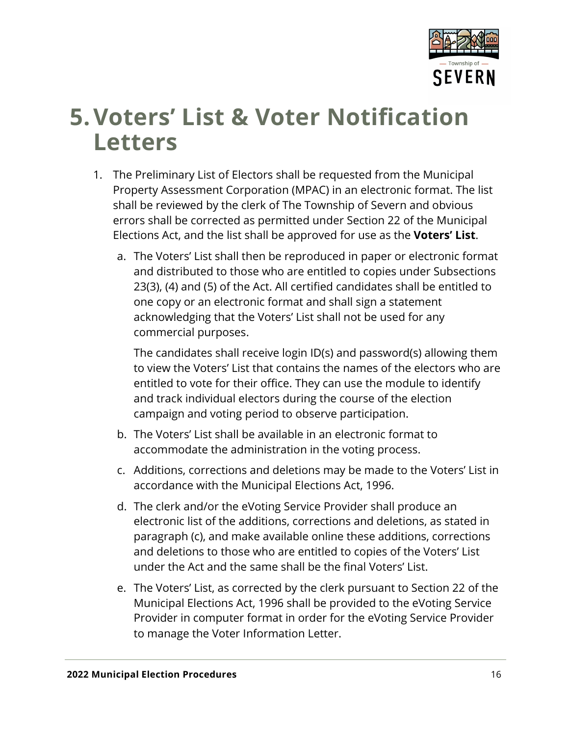

### <span id="page-15-0"></span>**5.Voters' List & Voter Notification Letters**

- 1. The Preliminary List of Electors shall be requested from the Municipal Property Assessment Corporation (MPAC) in an electronic format. The list shall be reviewed by the clerk of The Township of Severn and obvious errors shall be corrected as permitted under Section 22 of the Municipal Elections Act, and the list shall be approved for use as the **Voters' List**.
	- a. The Voters' List shall then be reproduced in paper or electronic format and distributed to those who are entitled to copies under Subsections 23(3), (4) and (5) of the Act. All certified candidates shall be entitled to one copy or an electronic format and shall sign a statement acknowledging that the Voters' List shall not be used for any commercial purposes.

The candidates shall receive login ID(s) and password(s) allowing them to view the Voters' List that contains the names of the electors who are entitled to vote for their office. They can use the module to identify and track individual electors during the course of the election campaign and voting period to observe participation.

- b. The Voters' List shall be available in an electronic format to accommodate the administration in the voting process.
- c. Additions, corrections and deletions may be made to the Voters' List in accordance with the Municipal Elections Act, 1996.
- d. The clerk and/or the eVoting Service Provider shall produce an electronic list of the additions, corrections and deletions, as stated in paragraph (c), and make available online these additions, corrections and deletions to those who are entitled to copies of the Voters' List under the Act and the same shall be the final Voters' List.
- e. The Voters' List, as corrected by the clerk pursuant to Section 22 of the Municipal Elections Act, 1996 shall be provided to the eVoting Service Provider in computer format in order for the eVoting Service Provider to manage the Voter Information Letter.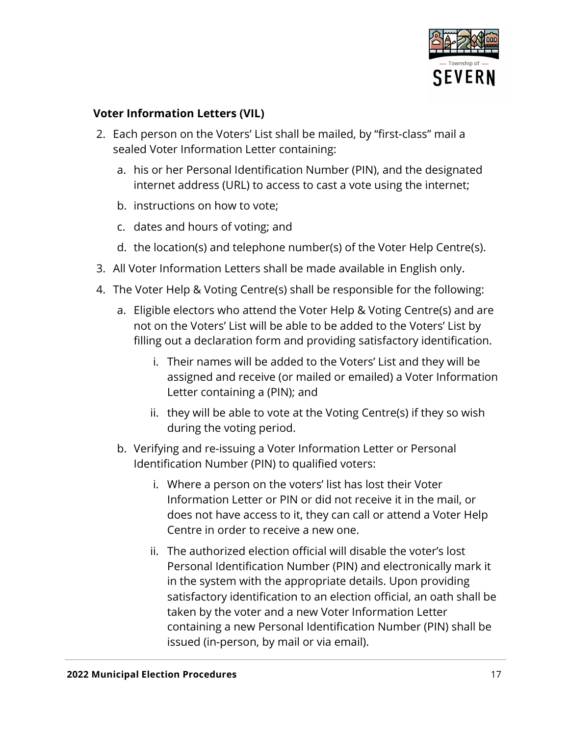

### **Voter Information Letters (VIL)**

- 2. Each person on the Voters' List shall be mailed, by "first-class" mail a sealed Voter Information Letter containing:
	- a. his or her Personal Identification Number (PIN), and the designated internet address (URL) to access to cast a vote using the internet;
	- b. instructions on how to vote;
	- c. dates and hours of voting; and
	- d. the location(s) and telephone number(s) of the Voter Help Centre(s).
- 3. All Voter Information Letters shall be made available in English only.
- 4. The Voter Help & Voting Centre(s) shall be responsible for the following:
	- a. Eligible electors who attend the Voter Help & Voting Centre(s) and are not on the Voters' List will be able to be added to the Voters' List by filling out a declaration form and providing satisfactory identification.
		- i. Their names will be added to the Voters' List and they will be assigned and receive (or mailed or emailed) a Voter Information Letter containing a (PIN); and
		- ii. they will be able to vote at the Voting Centre(s) if they so wish during the voting period.
	- b. Verifying and re-issuing a Voter Information Letter or Personal Identification Number (PIN) to qualified voters:
		- i. Where a person on the voters' list has lost their Voter Information Letter or PIN or did not receive it in the mail, or does not have access to it, they can call or attend a Voter Help Centre in order to receive a new one.
		- ii. The authorized election official will disable the voter's lost Personal Identification Number (PIN) and electronically mark it in the system with the appropriate details. Upon providing satisfactory identification to an election official, an oath shall be taken by the voter and a new Voter Information Letter containing a new Personal Identification Number (PIN) shall be issued (in-person, by mail or via email).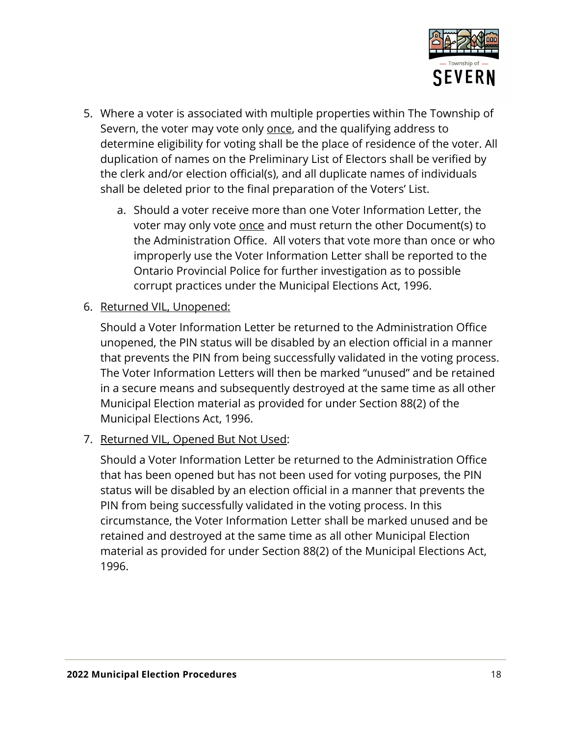

- 5. Where a voter is associated with multiple properties within The Township of Severn, the voter may vote only once, and the qualifying address to determine eligibility for voting shall be the place of residence of the voter. All duplication of names on the Preliminary List of Electors shall be verified by the clerk and/or election official(s), and all duplicate names of individuals shall be deleted prior to the final preparation of the Voters' List.
	- a. Should a voter receive more than one Voter Information Letter, the voter may only vote once and must return the other Document(s) to the Administration Office. All voters that vote more than once or who improperly use the Voter Information Letter shall be reported to the Ontario Provincial Police for further investigation as to possible corrupt practices under the Municipal Elections Act, 1996.
- 6. Returned VIL, Unopened:

Should a Voter Information Letter be returned to the Administration Office unopened, the PIN status will be disabled by an election official in a manner that prevents the PIN from being successfully validated in the voting process. The Voter Information Letters will then be marked "unused" and be retained in a secure means and subsequently destroyed at the same time as all other Municipal Election material as provided for under Section 88(2) of the Municipal Elections Act, 1996.

7. Returned VIL, Opened But Not Used:

Should a Voter Information Letter be returned to the Administration Office that has been opened but has not been used for voting purposes, the PIN status will be disabled by an election official in a manner that prevents the PIN from being successfully validated in the voting process. In this circumstance, the Voter Information Letter shall be marked unused and be retained and destroyed at the same time as all other Municipal Election material as provided for under Section 88(2) of the Municipal Elections Act, 1996.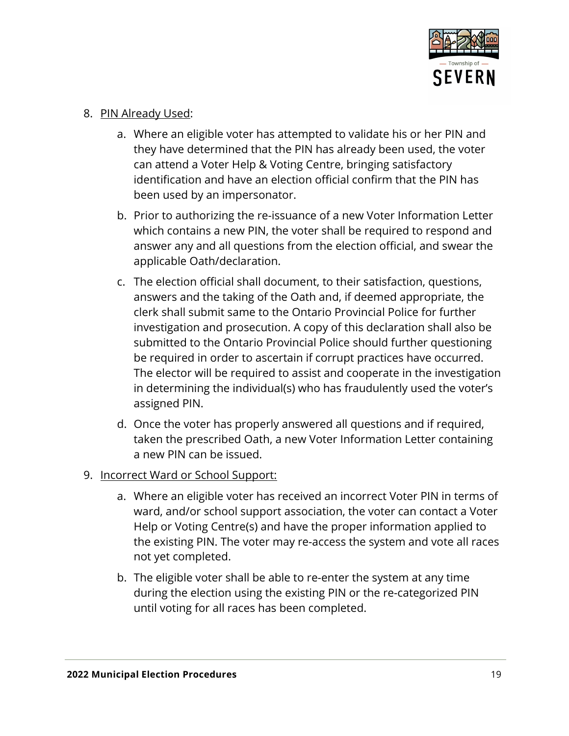

- 8. PIN Already Used:
	- a. Where an eligible voter has attempted to validate his or her PIN and they have determined that the PIN has already been used, the voter can attend a Voter Help & Voting Centre, bringing satisfactory identification and have an election official confirm that the PIN has been used by an impersonator.
	- b. Prior to authorizing the re-issuance of a new Voter Information Letter which contains a new PIN, the voter shall be required to respond and answer any and all questions from the election official, and swear the applicable Oath/declaration.
	- c. The election official shall document, to their satisfaction, questions, answers and the taking of the Oath and, if deemed appropriate, the clerk shall submit same to the Ontario Provincial Police for further investigation and prosecution. A copy of this declaration shall also be submitted to the Ontario Provincial Police should further questioning be required in order to ascertain if corrupt practices have occurred. The elector will be required to assist and cooperate in the investigation in determining the individual(s) who has fraudulently used the voter's assigned PIN.
	- d. Once the voter has properly answered all questions and if required, taken the prescribed Oath, a new Voter Information Letter containing a new PIN can be issued.
- 9. Incorrect Ward or School Support:
	- a. Where an eligible voter has received an incorrect Voter PIN in terms of ward, and/or school support association, the voter can contact a Voter Help or Voting Centre(s) and have the proper information applied to the existing PIN. The voter may re-access the system and vote all races not yet completed.
	- b. The eligible voter shall be able to re-enter the system at any time during the election using the existing PIN or the re-categorized PIN until voting for all races has been completed.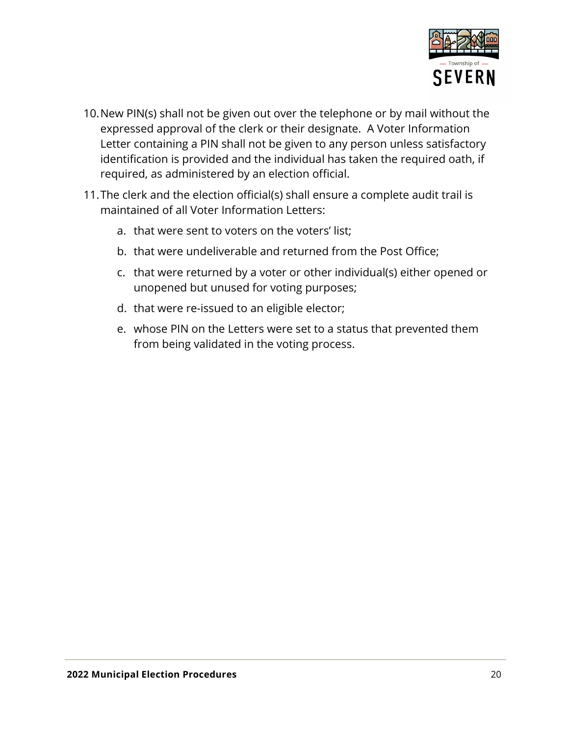

- 10.New PIN(s) shall not be given out over the telephone or by mail without the expressed approval of the clerk or their designate. A Voter Information Letter containing a PIN shall not be given to any person unless satisfactory identification is provided and the individual has taken the required oath, if required, as administered by an election official.
- 11.The clerk and the election official(s) shall ensure a complete audit trail is maintained of all Voter Information Letters:
	- a. that were sent to voters on the voters' list;
	- b. that were undeliverable and returned from the Post Office;
	- c. that were returned by a voter or other individual(s) either opened or unopened but unused for voting purposes;
	- d. that were re-issued to an eligible elector;
	- e. whose PIN on the Letters were set to a status that prevented them from being validated in the voting process.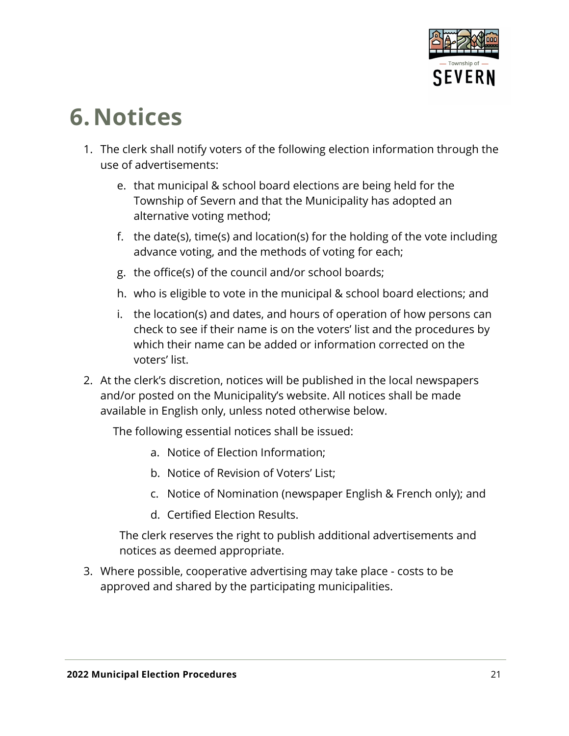

### <span id="page-20-0"></span>**6.Notices**

- 1. The clerk shall notify voters of the following election information through the use of advertisements:
	- e. that municipal & school board elections are being held for the Township of Severn and that the Municipality has adopted an alternative voting method;
	- f. the date(s), time(s) and location(s) for the holding of the vote including advance voting, and the methods of voting for each;
	- g. the office(s) of the council and/or school boards;
	- h. who is eligible to vote in the municipal & school board elections; and
	- i. the location(s) and dates, and hours of operation of how persons can check to see if their name is on the voters' list and the procedures by which their name can be added or information corrected on the voters' list.
- 2. At the clerk's discretion, notices will be published in the local newspapers and/or posted on the Municipality's website. All notices shall be made available in English only, unless noted otherwise below.

The following essential notices shall be issued:

- a. Notice of Election Information;
- b. Notice of Revision of Voters' List;
- c. Notice of Nomination (newspaper English & French only); and
- d. Certified Election Results.

The clerk reserves the right to publish additional advertisements and notices as deemed appropriate.

3. Where possible, cooperative advertising may take place - costs to be approved and shared by the participating municipalities.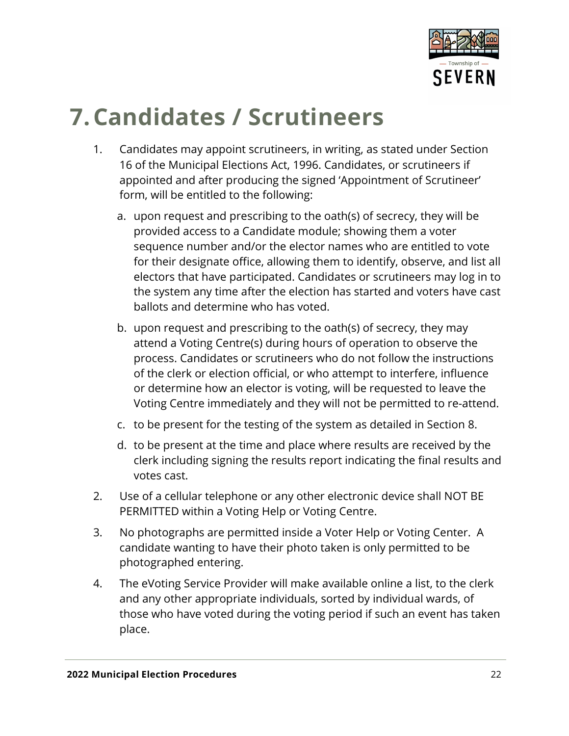

## <span id="page-21-0"></span>**7.Candidates / Scrutineers**

- 1. Candidates may appoint scrutineers, in writing, as stated under Section 16 of the Municipal Elections Act, 1996. Candidates, or scrutineers if appointed and after producing the signed 'Appointment of Scrutineer' form, will be entitled to the following:
	- a. upon request and prescribing to the oath(s) of secrecy, they will be provided access to a Candidate module; showing them a voter sequence number and/or the elector names who are entitled to vote for their designate office, allowing them to identify, observe, and list all electors that have participated. Candidates or scrutineers may log in to the system any time after the election has started and voters have cast ballots and determine who has voted.
	- b. upon request and prescribing to the oath(s) of secrecy, they may attend a Voting Centre(s) during hours of operation to observe the process. Candidates or scrutineers who do not follow the instructions of the clerk or election official, or who attempt to interfere, influence or determine how an elector is voting, will be requested to leave the Voting Centre immediately and they will not be permitted to re-attend.
	- c. to be present for the testing of the system as detailed in Section 8.
	- d. to be present at the time and place where results are received by the clerk including signing the results report indicating the final results and votes cast.
- 2. Use of a cellular telephone or any other electronic device shall NOT BE PERMITTED within a Voting Help or Voting Centre.
- 3. No photographs are permitted inside a Voter Help or Voting Center. A candidate wanting to have their photo taken is only permitted to be photographed entering.
- 4. The eVoting Service Provider will make available online a list, to the clerk and any other appropriate individuals, sorted by individual wards, of those who have voted during the voting period if such an event has taken place.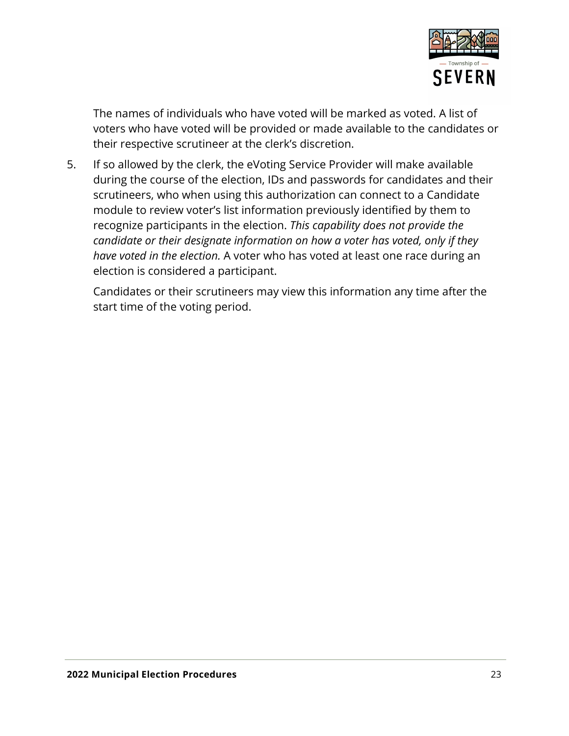

The names of individuals who have voted will be marked as voted. A list of voters who have voted will be provided or made available to the candidates or their respective scrutineer at the clerk's discretion.

5. If so allowed by the clerk, the eVoting Service Provider will make available during the course of the election, IDs and passwords for candidates and their scrutineers, who when using this authorization can connect to a Candidate module to review voter's list information previously identified by them to recognize participants in the election. *This capability does not provide the candidate or their designate information on how a voter has voted, only if they have voted in the election.* A voter who has voted at least one race during an election is considered a participant.

Candidates or their scrutineers may view this information any time after the start time of the voting period.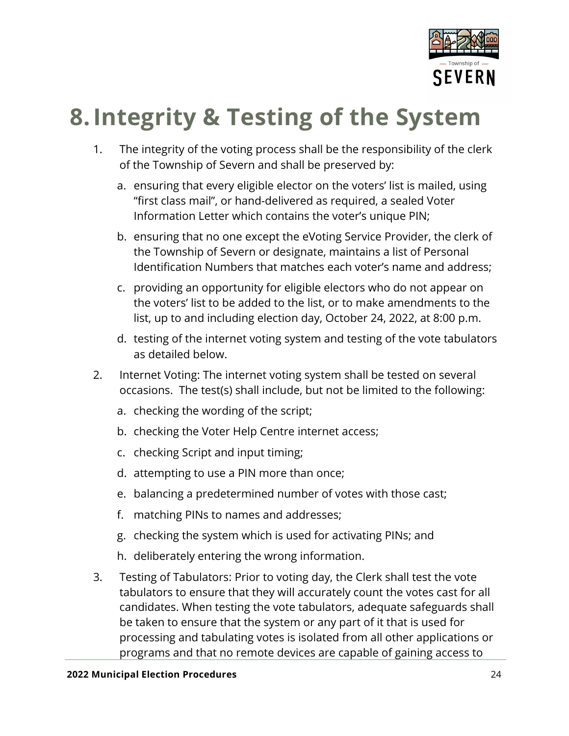

## <span id="page-23-0"></span>**8.Integrity & Testing of the System**

- 1. The integrity of the voting process shall be the responsibility of the clerk of the Township of Severn and shall be preserved by:
	- a. ensuring that every eligible elector on the voters' list is mailed, using "first class mail", or hand-delivered as required, a sealed Voter Information Letter which contains the voter's unique PIN;
	- b. ensuring that no one except the eVoting Service Provider, the clerk of the Township of Severn or designate, maintains a list of Personal Identification Numbers that matches each voter's name and address;
	- c. providing an opportunity for eligible electors who do not appear on the voters' list to be added to the list, or to make amendments to the list, up to and including election day, October 24, 2022, at 8:00 p.m.
	- d. testing of the internet voting system and testing of the vote tabulators as detailed below.
- 2. Internet Voting: The internet voting system shall be tested on several occasions. The test(s) shall include, but not be limited to the following:
	- a. checking the wording of the script;
	- b. checking the Voter Help Centre internet access;
	- c. checking Script and input timing;
	- d. attempting to use a PIN more than once;
	- e. balancing a predetermined number of votes with those cast;
	- f. matching PINs to names and addresses;
	- g. checking the system which is used for activating PINs; and
	- h. deliberately entering the wrong information.
- 3. Testing of Tabulators: Prior to voting day, the Clerk shall test the vote tabulators to ensure that they will accurately count the votes cast for all candidates. When testing the vote tabulators, adequate safeguards shall be taken to ensure that the system or any part of it that is used for processing and tabulating votes is isolated from all other applications or programs and that no remote devices are capable of gaining access to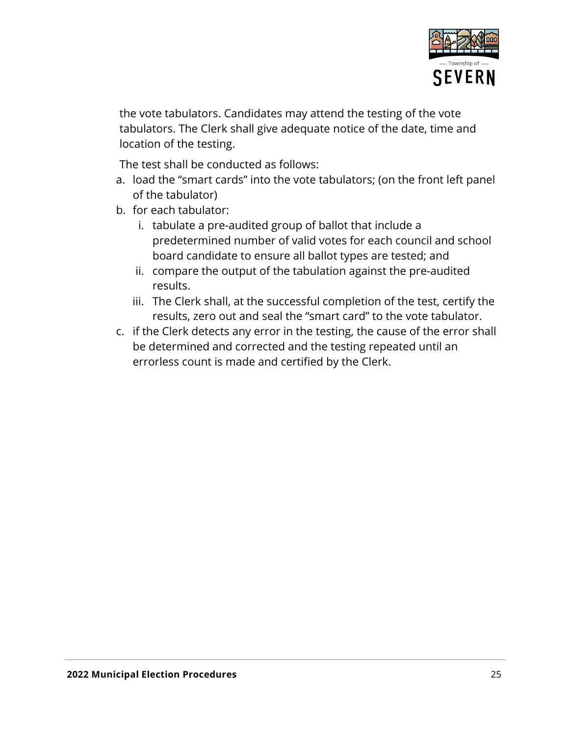

the vote tabulators. Candidates may attend the testing of the vote tabulators. The Clerk shall give adequate notice of the date, time and location of the testing.

The test shall be conducted as follows:

- a. load the "smart cards" into the vote tabulators; (on the front left panel of the tabulator)
- b. for each tabulator:
	- i. tabulate a pre-audited group of ballot that include a predetermined number of valid votes for each council and school board candidate to ensure all ballot types are tested; and
	- ii. compare the output of the tabulation against the pre-audited results.
	- iii. The Clerk shall, at the successful completion of the test, certify the results, zero out and seal the "smart card" to the vote tabulator.
- c. if the Clerk detects any error in the testing, the cause of the error shall be determined and corrected and the testing repeated until an errorless count is made and certified by the Clerk.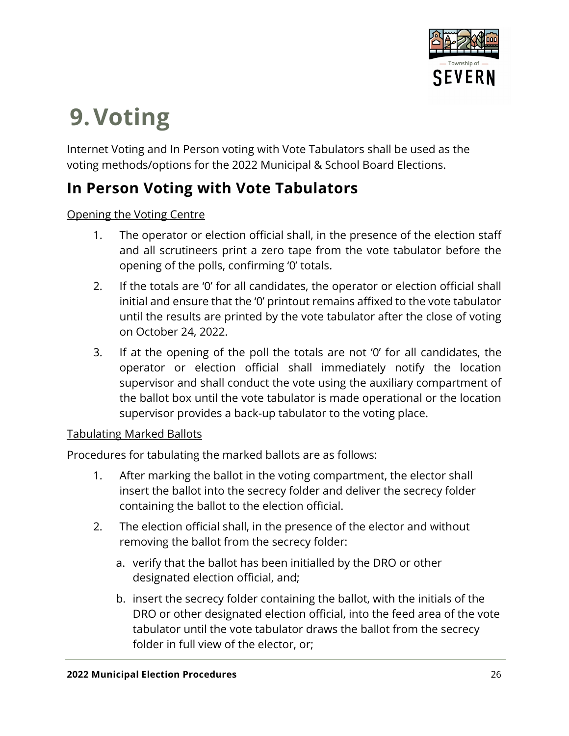

## <span id="page-25-0"></span>**9.Voting**

Internet Voting and In Person voting with Vote Tabulators shall be used as the voting methods/options for the 2022 Municipal & School Board Elections.

### <span id="page-25-1"></span>**In Person Voting with Vote Tabulators**

#### Opening the Voting Centre

- 1. The operator or election official shall, in the presence of the election staff and all scrutineers print a zero tape from the vote tabulator before the opening of the polls, confirming '0' totals.
- 2. If the totals are '0' for all candidates, the operator or election official shall initial and ensure that the '0' printout remains affixed to the vote tabulator until the results are printed by the vote tabulator after the close of voting on October 24, 2022.
- 3. If at the opening of the poll the totals are not '0' for all candidates, the operator or election official shall immediately notify the location supervisor and shall conduct the vote using the auxiliary compartment of the ballot box until the vote tabulator is made operational or the location supervisor provides a back-up tabulator to the voting place.

#### Tabulating Marked Ballots

Procedures for tabulating the marked ballots are as follows:

- 1. After marking the ballot in the voting compartment, the elector shall insert the ballot into the secrecy folder and deliver the secrecy folder containing the ballot to the election official.
- 2. The election official shall, in the presence of the elector and without removing the ballot from the secrecy folder:
	- a. verify that the ballot has been initialled by the DRO or other designated election official, and;
	- b. insert the secrecy folder containing the ballot, with the initials of the DRO or other designated election official, into the feed area of the vote tabulator until the vote tabulator draws the ballot from the secrecy folder in full view of the elector, or;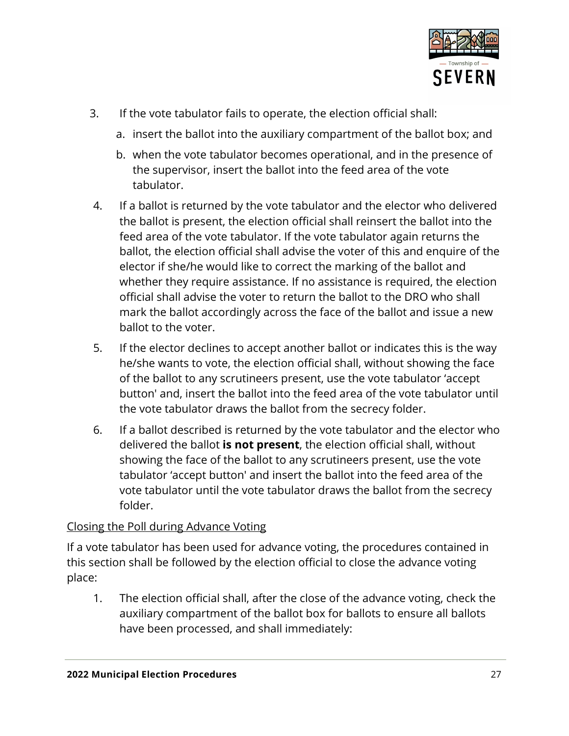

- 3. If the vote tabulator fails to operate, the election official shall:
	- a. insert the ballot into the auxiliary compartment of the ballot box; and
	- b. when the vote tabulator becomes operational, and in the presence of the supervisor, insert the ballot into the feed area of the vote tabulator.
- 4. If a ballot is returned by the vote tabulator and the elector who delivered the ballot is present, the election official shall reinsert the ballot into the feed area of the vote tabulator. If the vote tabulator again returns the ballot, the election official shall advise the voter of this and enquire of the elector if she/he would like to correct the marking of the ballot and whether they require assistance. If no assistance is required, the election official shall advise the voter to return the ballot to the DRO who shall mark the ballot accordingly across the face of the ballot and issue a new ballot to the voter.
- 5. If the elector declines to accept another ballot or indicates this is the way he/she wants to vote, the election official shall, without showing the face of the ballot to any scrutineers present, use the vote tabulator 'accept button' and, insert the ballot into the feed area of the vote tabulator until the vote tabulator draws the ballot from the secrecy folder.
- 6. If a ballot described is returned by the vote tabulator and the elector who delivered the ballot **is not present**, the election official shall, without showing the face of the ballot to any scrutineers present, use the vote tabulator 'accept button' and insert the ballot into the feed area of the vote tabulator until the vote tabulator draws the ballot from the secrecy folder.

#### Closing the Poll during Advance Voting

If a vote tabulator has been used for advance voting, the procedures contained in this section shall be followed by the election official to close the advance voting place:

1. The election official shall, after the close of the advance voting, check the auxiliary compartment of the ballot box for ballots to ensure all ballots have been processed, and shall immediately: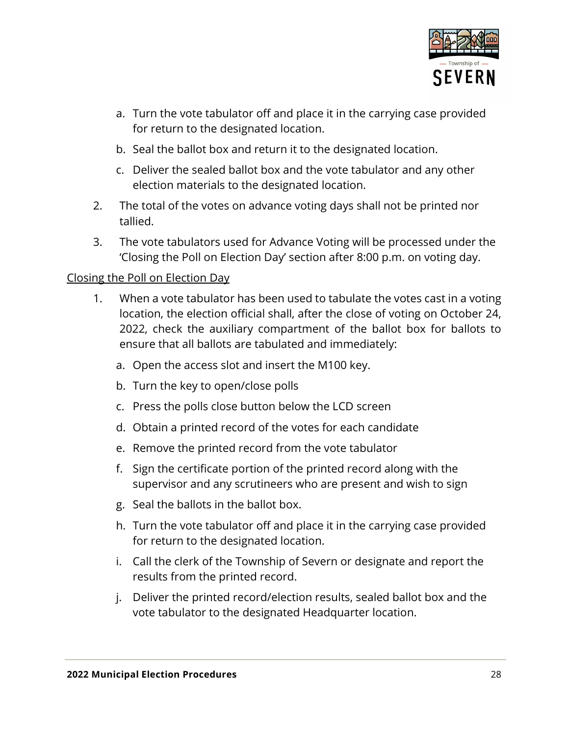

- a. Turn the vote tabulator off and place it in the carrying case provided for return to the designated location.
- b. Seal the ballot box and return it to the designated location.
- c. Deliver the sealed ballot box and the vote tabulator and any other election materials to the designated location.
- 2. The total of the votes on advance voting days shall not be printed nor tallied.
- 3. The vote tabulators used for Advance Voting will be processed under the 'Closing the Poll on Election Day' section after 8:00 p.m. on voting day.

#### Closing the Poll on Election Day

- 1. When a vote tabulator has been used to tabulate the votes cast in a voting location, the election official shall, after the close of voting on October 24, 2022, check the auxiliary compartment of the ballot box for ballots to ensure that all ballots are tabulated and immediately:
	- a. Open the access slot and insert the M100 key.
	- b. Turn the key to open/close polls
	- c. Press the polls close button below the LCD screen
	- d. Obtain a printed record of the votes for each candidate
	- e. Remove the printed record from the vote tabulator
	- f. Sign the certificate portion of the printed record along with the supervisor and any scrutineers who are present and wish to sign
	- g. Seal the ballots in the ballot box.
	- h. Turn the vote tabulator off and place it in the carrying case provided for return to the designated location.
	- i. Call the clerk of the Township of Severn or designate and report the results from the printed record.
	- j. Deliver the printed record/election results, sealed ballot box and the vote tabulator to the designated Headquarter location.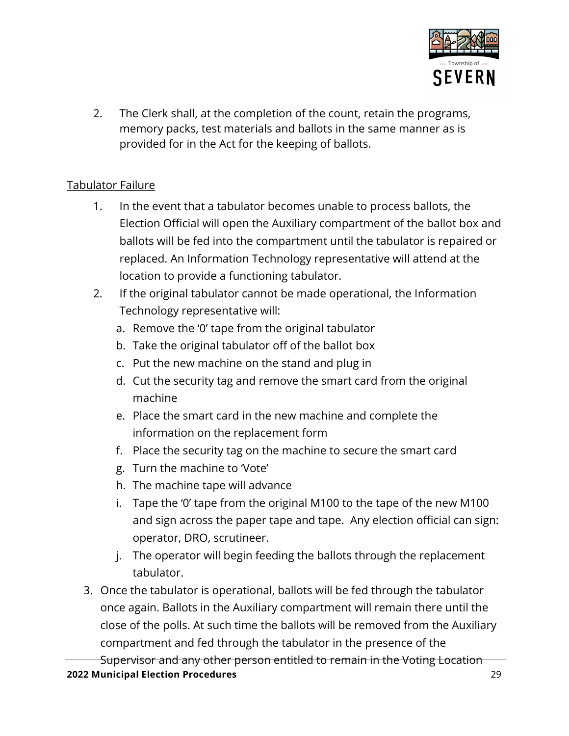

2. The Clerk shall, at the completion of the count, retain the programs, memory packs, test materials and ballots in the same manner as is provided for in the Act for the keeping of ballots.

#### Tabulator Failure

- 1. In the event that a tabulator becomes unable to process ballots, the Election Official will open the Auxiliary compartment of the ballot box and ballots will be fed into the compartment until the tabulator is repaired or replaced. An Information Technology representative will attend at the location to provide a functioning tabulator.
- 2. If the original tabulator cannot be made operational, the Information Technology representative will:
	- a. Remove the '0' tape from the original tabulator
	- b. Take the original tabulator off of the ballot box
	- c. Put the new machine on the stand and plug in
	- d. Cut the security tag and remove the smart card from the original machine
	- e. Place the smart card in the new machine and complete the information on the replacement form
	- f. Place the security tag on the machine to secure the smart card
	- g. Turn the machine to 'Vote'
	- h. The machine tape will advance
	- i. Tape the '0' tape from the original M100 to the tape of the new M100 and sign across the paper tape and tape. Any election official can sign: operator, DRO, scrutineer.
	- j. The operator will begin feeding the ballots through the replacement tabulator.
- 3. Once the tabulator is operational, ballots will be fed through the tabulator once again. Ballots in the Auxiliary compartment will remain there until the close of the polls. At such time the ballots will be removed from the Auxiliary compartment and fed through the tabulator in the presence of the

**2022 Municipal Election Procedures** 29 Supervisor and any other person entitled to remain in the Voting Location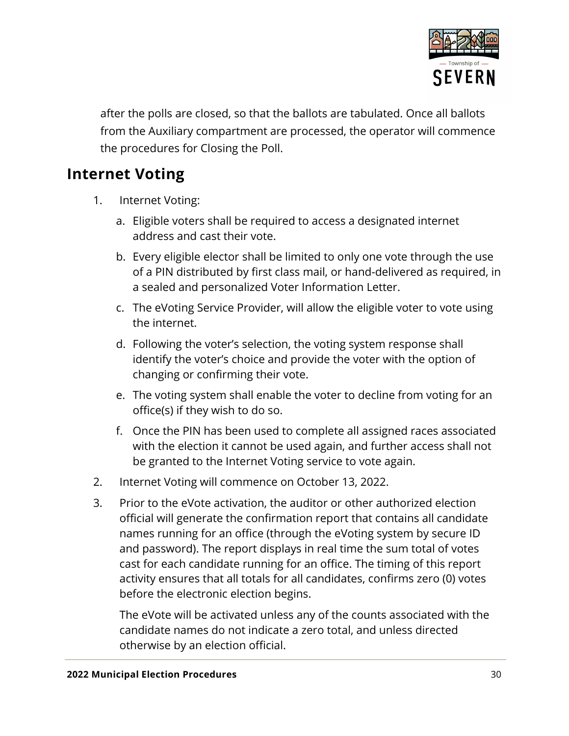

after the polls are closed, so that the ballots are tabulated. Once all ballots from the Auxiliary compartment are processed, the operator will commence the procedures for Closing the Poll.

### <span id="page-29-0"></span>**Internet Voting**

- 1. Internet Voting:
	- a. Eligible voters shall be required to access a designated internet address and cast their vote.
	- b. Every eligible elector shall be limited to only one vote through the use of a PIN distributed by first class mail, or hand-delivered as required, in a sealed and personalized Voter Information Letter.
	- c. The eVoting Service Provider, will allow the eligible voter to vote using the internet.
	- d. Following the voter's selection, the voting system response shall identify the voter's choice and provide the voter with the option of changing or confirming their vote.
	- e. The voting system shall enable the voter to decline from voting for an office(s) if they wish to do so.
	- f. Once the PIN has been used to complete all assigned races associated with the election it cannot be used again, and further access shall not be granted to the Internet Voting service to vote again.
- 2. Internet Voting will commence on October 13, 2022.
- 3. Prior to the eVote activation, the auditor or other authorized election official will generate the confirmation report that contains all candidate names running for an office (through the eVoting system by secure ID and password). The report displays in real time the sum total of votes cast for each candidate running for an office. The timing of this report activity ensures that all totals for all candidates, confirms zero (0) votes before the electronic election begins.

The eVote will be activated unless any of the counts associated with the candidate names do not indicate a zero total, and unless directed otherwise by an election official.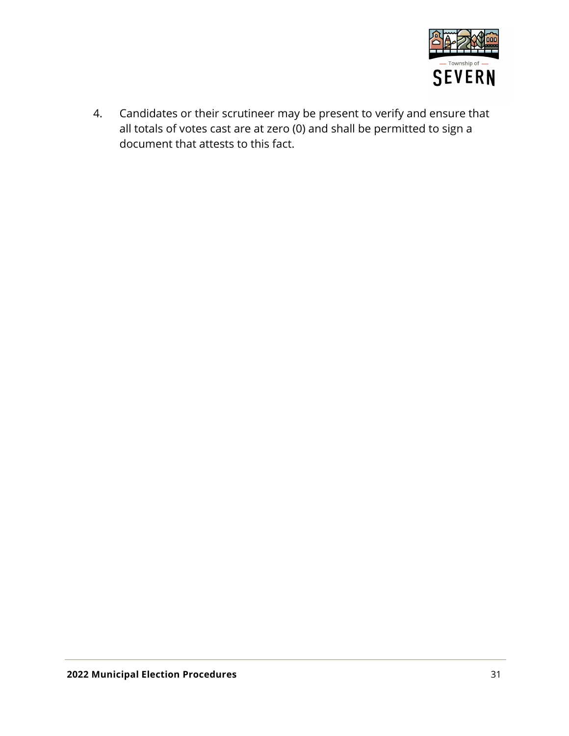

4. Candidates or their scrutineer may be present to verify and ensure that all totals of votes cast are at zero (0) and shall be permitted to sign a document that attests to this fact.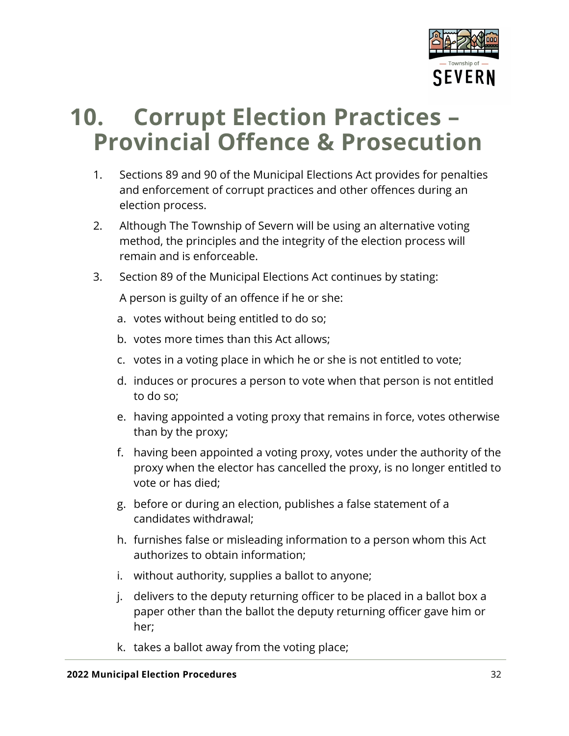

### <span id="page-31-0"></span>**10. Corrupt Election Practices – Provincial Offence & Prosecution**

- 1. Sections 89 and 90 of the Municipal Elections Act provides for penalties and enforcement of corrupt practices and other offences during an election process.
- 2. Although The Township of Severn will be using an alternative voting method, the principles and the integrity of the election process will remain and is enforceable.
- 3. Section 89 of the Municipal Elections Act continues by stating:

A person is guilty of an offence if he or she:

- a. votes without being entitled to do so;
- b. votes more times than this Act allows;
- c. votes in a voting place in which he or she is not entitled to vote;
- d. induces or procures a person to vote when that person is not entitled to do so;
- e. having appointed a voting proxy that remains in force, votes otherwise than by the proxy;
- f. having been appointed a voting proxy, votes under the authority of the proxy when the elector has cancelled the proxy, is no longer entitled to vote or has died;
- g. before or during an election, publishes a false statement of a candidates withdrawal;
- h. furnishes false or misleading information to a person whom this Act authorizes to obtain information;
- i. without authority, supplies a ballot to anyone;
- j. delivers to the deputy returning officer to be placed in a ballot box a paper other than the ballot the deputy returning officer gave him or her;
- k. takes a ballot away from the voting place;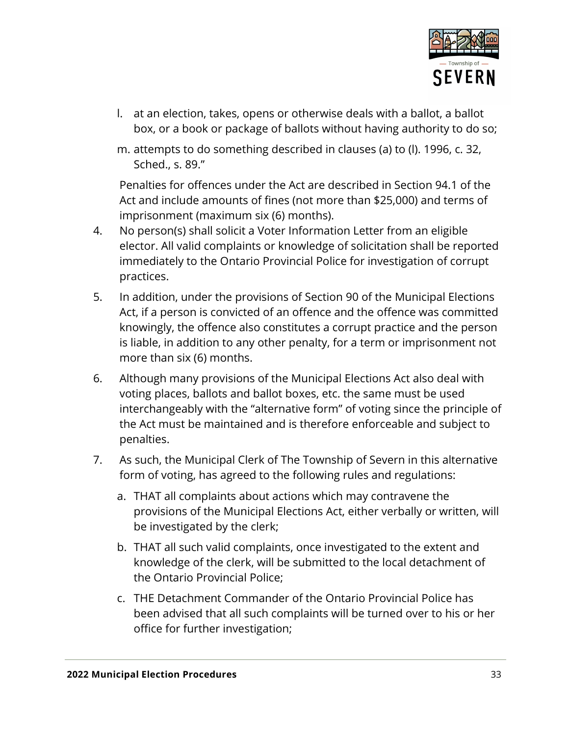

- l. at an election, takes, opens or otherwise deals with a ballot, a ballot box, or a book or package of ballots without having authority to do so;
- m. attempts to do something described in clauses (a) to (l). 1996, c. 32, Sched., s. 89."

Penalties for offences under the Act are described in Section 94.1 of the Act and include amounts of fines (not more than \$25,000) and terms of imprisonment (maximum six (6) months).

- 4. No person(s) shall solicit a Voter Information Letter from an eligible elector. All valid complaints or knowledge of solicitation shall be reported immediately to the Ontario Provincial Police for investigation of corrupt practices.
- 5. In addition, under the provisions of Section 90 of the Municipal Elections Act, if a person is convicted of an offence and the offence was committed knowingly, the offence also constitutes a corrupt practice and the person is liable, in addition to any other penalty, for a term or imprisonment not more than six (6) months.
- 6. Although many provisions of the Municipal Elections Act also deal with voting places, ballots and ballot boxes, etc. the same must be used interchangeably with the "alternative form" of voting since the principle of the Act must be maintained and is therefore enforceable and subject to penalties.
- 7. As such, the Municipal Clerk of The Township of Severn in this alternative form of voting, has agreed to the following rules and regulations:
	- a. THAT all complaints about actions which may contravene the provisions of the Municipal Elections Act, either verbally or written, will be investigated by the clerk;
	- b. THAT all such valid complaints, once investigated to the extent and knowledge of the clerk, will be submitted to the local detachment of the Ontario Provincial Police;
	- c. THE Detachment Commander of the Ontario Provincial Police has been advised that all such complaints will be turned over to his or her office for further investigation;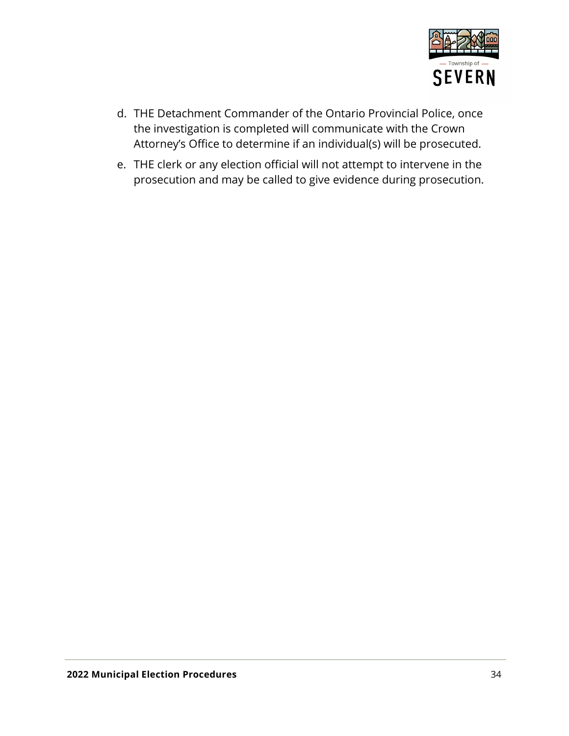

- d. THE Detachment Commander of the Ontario Provincial Police, once the investigation is completed will communicate with the Crown Attorney's Office to determine if an individual(s) will be prosecuted.
- e. THE clerk or any election official will not attempt to intervene in the prosecution and may be called to give evidence during prosecution.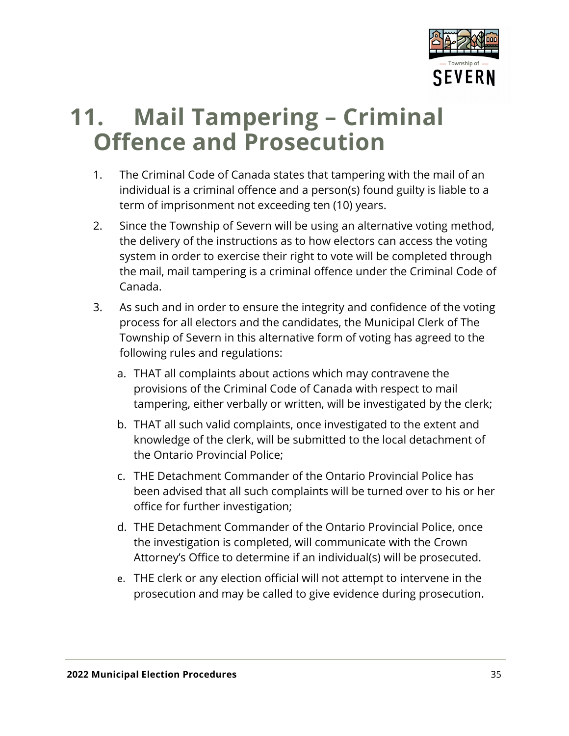

### <span id="page-34-0"></span>**11. Mail Tampering – Criminal Offence and Prosecution**

- 1. The Criminal Code of Canada states that tampering with the mail of an individual is a criminal offence and a person(s) found guilty is liable to a term of imprisonment not exceeding ten (10) years.
- 2. Since the Township of Severn will be using an alternative voting method, the delivery of the instructions as to how electors can access the voting system in order to exercise their right to vote will be completed through the mail, mail tampering is a criminal offence under the Criminal Code of Canada.
- 3. As such and in order to ensure the integrity and confidence of the voting process for all electors and the candidates, the Municipal Clerk of The Township of Severn in this alternative form of voting has agreed to the following rules and regulations:
	- a. THAT all complaints about actions which may contravene the provisions of the Criminal Code of Canada with respect to mail tampering, either verbally or written, will be investigated by the clerk;
	- b. THAT all such valid complaints, once investigated to the extent and knowledge of the clerk, will be submitted to the local detachment of the Ontario Provincial Police;
	- c. THE Detachment Commander of the Ontario Provincial Police has been advised that all such complaints will be turned over to his or her office for further investigation;
	- d. THE Detachment Commander of the Ontario Provincial Police, once the investigation is completed, will communicate with the Crown Attorney's Office to determine if an individual(s) will be prosecuted.
	- e. THE clerk or any election official will not attempt to intervene in the prosecution and may be called to give evidence during prosecution.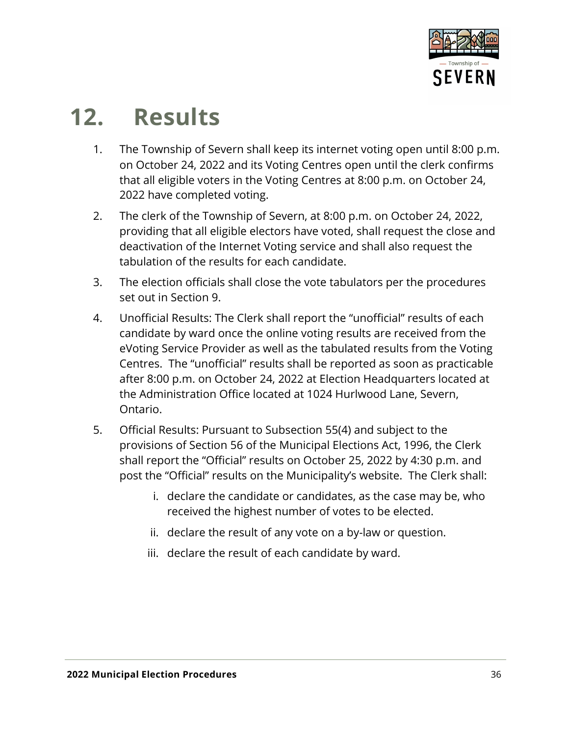

## <span id="page-35-0"></span>**12. Results**

- 1. The Township of Severn shall keep its internet voting open until 8:00 p.m. on October 24, 2022 and its Voting Centres open until the clerk confirms that all eligible voters in the Voting Centres at 8:00 p.m. on October 24, 2022 have completed voting.
- 2. The clerk of the Township of Severn, at 8:00 p.m. on October 24, 2022, providing that all eligible electors have voted, shall request the close and deactivation of the Internet Voting service and shall also request the tabulation of the results for each candidate.
- 3. The election officials shall close the vote tabulators per the procedures set out in Section 9.
- 4. Unofficial Results: The Clerk shall report the "unofficial" results of each candidate by ward once the online voting results are received from the eVoting Service Provider as well as the tabulated results from the Voting Centres. The "unofficial" results shall be reported as soon as practicable after 8:00 p.m. on October 24, 2022 at Election Headquarters located at the Administration Office located at 1024 Hurlwood Lane, Severn, Ontario.
- 5. Official Results: Pursuant to Subsection 55(4) and subject to the provisions of Section 56 of the Municipal Elections Act, 1996, the Clerk shall report the "Official" results on October 25, 2022 by 4:30 p.m. and post the "Official" results on the Municipality's website. The Clerk shall:
	- i. declare the candidate or candidates, as the case may be, who received the highest number of votes to be elected.
	- ii. declare the result of any vote on a by-law or question.
	- iii. declare the result of each candidate by ward.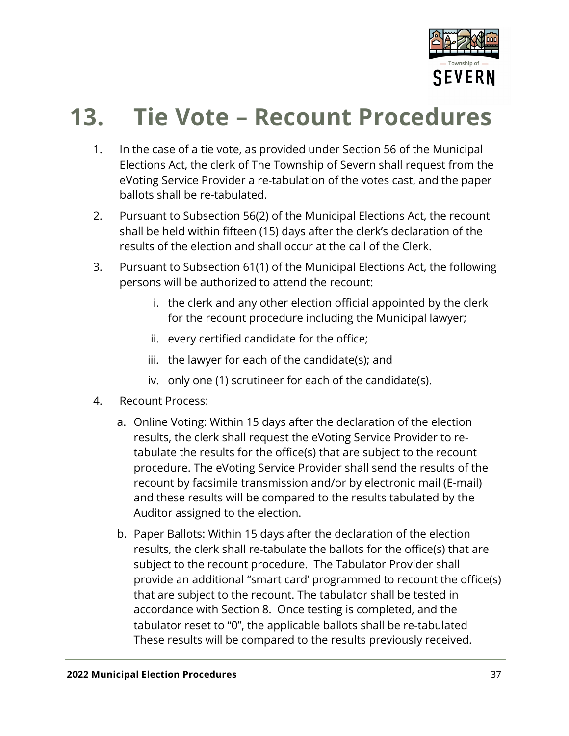

## <span id="page-36-0"></span>**13. Tie Vote – Recount Procedures**

- 1. In the case of a tie vote, as provided under Section 56 of the Municipal Elections Act, the clerk of The Township of Severn shall request from the eVoting Service Provider a re-tabulation of the votes cast, and the paper ballots shall be re-tabulated.
- 2. Pursuant to Subsection 56(2) of the Municipal Elections Act, the recount shall be held within fifteen (15) days after the clerk's declaration of the results of the election and shall occur at the call of the Clerk.
- 3. Pursuant to Subsection 61(1) of the Municipal Elections Act, the following persons will be authorized to attend the recount:
	- i. the clerk and any other election official appointed by the clerk for the recount procedure including the Municipal lawyer;
	- ii. every certified candidate for the office;
	- iii. the lawyer for each of the candidate(s); and
	- iv. only one (1) scrutineer for each of the candidate(s).
- 4. Recount Process:
	- a. Online Voting: Within 15 days after the declaration of the election results, the clerk shall request the eVoting Service Provider to retabulate the results for the office(s) that are subject to the recount procedure. The eVoting Service Provider shall send the results of the recount by facsimile transmission and/or by electronic mail (E-mail) and these results will be compared to the results tabulated by the Auditor assigned to the election.
	- b. Paper Ballots: Within 15 days after the declaration of the election results, the clerk shall re-tabulate the ballots for the office(s) that are subject to the recount procedure. The Tabulator Provider shall provide an additional "smart card' programmed to recount the office(s) that are subject to the recount. The tabulator shall be tested in accordance with Section 8. Once testing is completed, and the tabulator reset to "0", the applicable ballots shall be re-tabulated These results will be compared to the results previously received.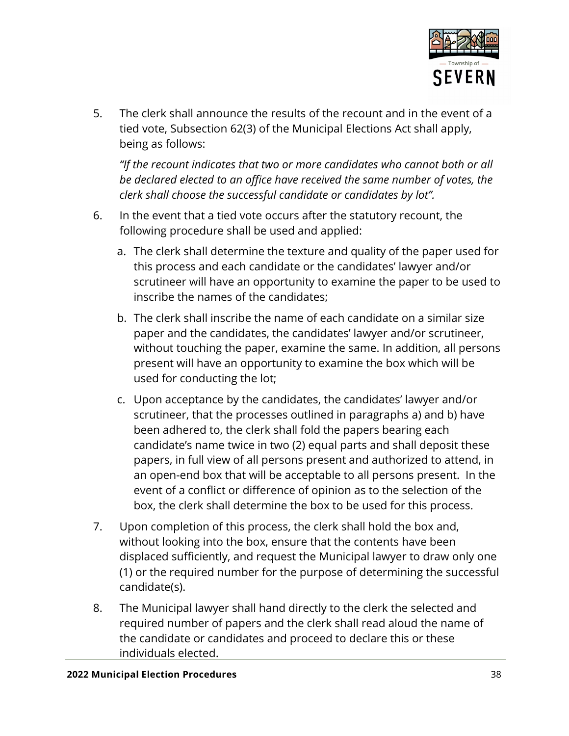

5. The clerk shall announce the results of the recount and in the event of a tied vote, Subsection 62(3) of the Municipal Elections Act shall apply, being as follows:

*"If the recount indicates that two or more candidates who cannot both or all be declared elected to an office have received the same number of votes, the clerk shall choose the successful candidate or candidates by lot".*

- 6. In the event that a tied vote occurs after the statutory recount, the following procedure shall be used and applied:
	- a. The clerk shall determine the texture and quality of the paper used for this process and each candidate or the candidates' lawyer and/or scrutineer will have an opportunity to examine the paper to be used to inscribe the names of the candidates;
	- b. The clerk shall inscribe the name of each candidate on a similar size paper and the candidates, the candidates' lawyer and/or scrutineer, without touching the paper, examine the same. In addition, all persons present will have an opportunity to examine the box which will be used for conducting the lot;
	- c. Upon acceptance by the candidates, the candidates' lawyer and/or scrutineer, that the processes outlined in paragraphs a) and b) have been adhered to, the clerk shall fold the papers bearing each candidate's name twice in two (2) equal parts and shall deposit these papers, in full view of all persons present and authorized to attend, in an open-end box that will be acceptable to all persons present. In the event of a conflict or difference of opinion as to the selection of the box, the clerk shall determine the box to be used for this process.
- 7. Upon completion of this process, the clerk shall hold the box and, without looking into the box, ensure that the contents have been displaced sufficiently, and request the Municipal lawyer to draw only one (1) or the required number for the purpose of determining the successful candidate(s).
- 8. The Municipal lawyer shall hand directly to the clerk the selected and required number of papers and the clerk shall read aloud the name of the candidate or candidates and proceed to declare this or these individuals elected.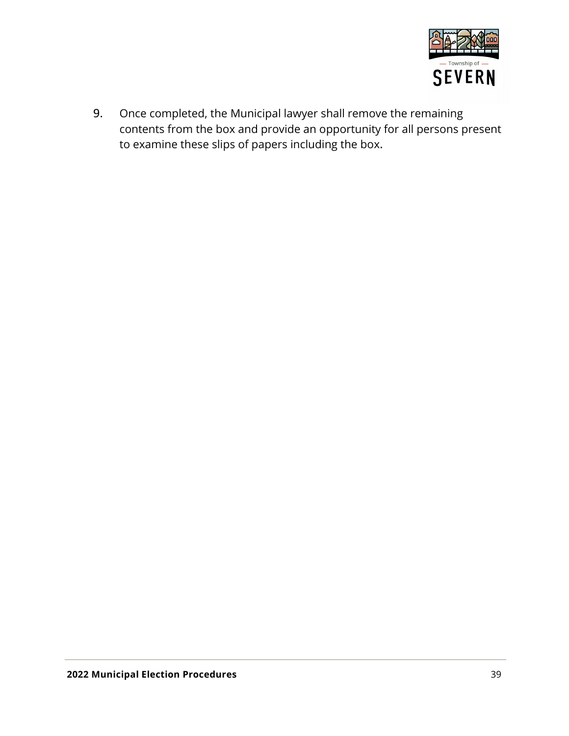

9. Once completed, the Municipal lawyer shall remove the remaining contents from the box and provide an opportunity for all persons present to examine these slips of papers including the box.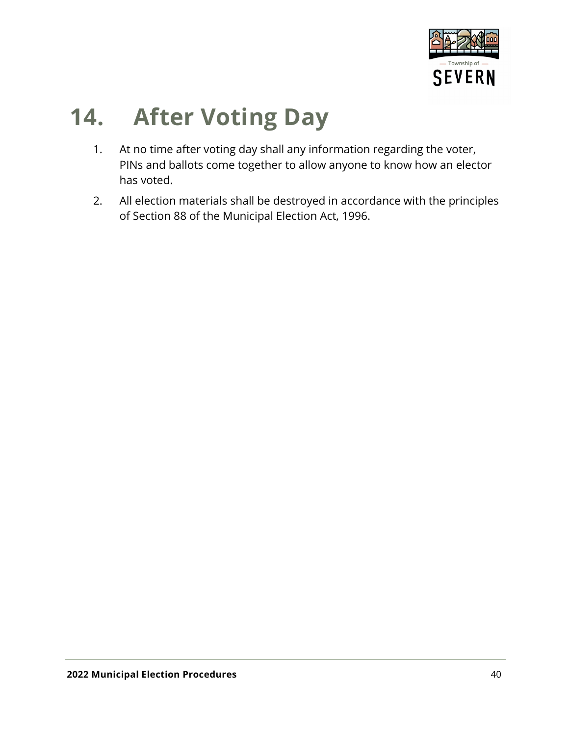

### <span id="page-39-0"></span>**14. After Voting Day**

- 1. At no time after voting day shall any information regarding the voter, PINs and ballots come together to allow anyone to know how an elector has voted.
- 2. All election materials shall be destroyed in accordance with the principles of Section 88 of the Municipal Election Act, 1996.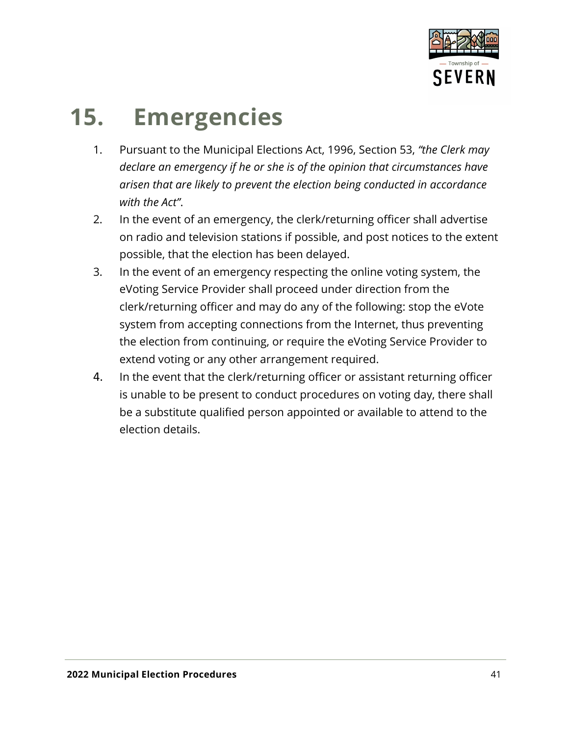

## <span id="page-40-0"></span>**15. Emergencies**

- 1. Pursuant to the Municipal Elections Act, 1996, Section 53, *"the Clerk may declare an emergency if he or she is of the opinion that circumstances have arisen that are likely to prevent the election being conducted in accordance with the Act"*.
- 2. In the event of an emergency, the clerk/returning officer shall advertise on radio and television stations if possible, and post notices to the extent possible, that the election has been delayed.
- 3. In the event of an emergency respecting the online voting system, the eVoting Service Provider shall proceed under direction from the clerk/returning officer and may do any of the following: stop the eVote system from accepting connections from the Internet, thus preventing the election from continuing, or require the eVoting Service Provider to extend voting or any other arrangement required.
- 4. In the event that the clerk/returning officer or assistant returning officer is unable to be present to conduct procedures on voting day, there shall be a substitute qualified person appointed or available to attend to the election details.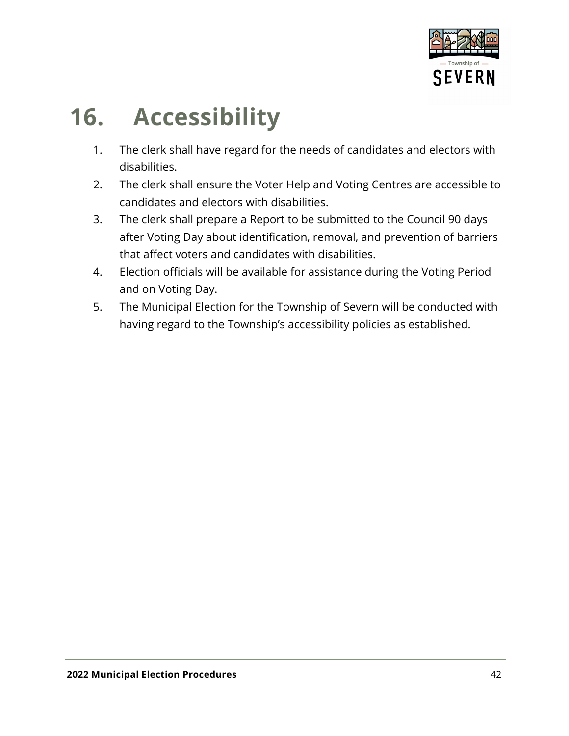

## <span id="page-41-0"></span>**16. Accessibility**

- 1. The clerk shall have regard for the needs of candidates and electors with disabilities.
- 2. The clerk shall ensure the Voter Help and Voting Centres are accessible to candidates and electors with disabilities.
- 3. The clerk shall prepare a Report to be submitted to the Council 90 days after Voting Day about identification, removal, and prevention of barriers that affect voters and candidates with disabilities.
- 4. Election officials will be available for assistance during the Voting Period and on Voting Day.
- 5. The Municipal Election for the Township of Severn will be conducted with having regard to the Township's accessibility policies as established.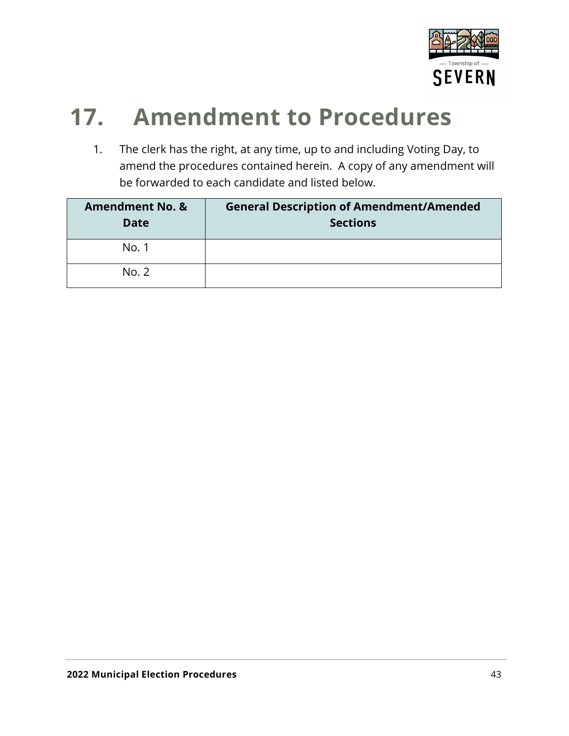

### <span id="page-42-0"></span>**17. Amendment to Procedures**

1. The clerk has the right, at any time, up to and including Voting Day, to amend the procedures contained herein. A copy of any amendment will be forwarded to each candidate and listed below.

| <b>Amendment No. &amp;</b><br><b>Date</b> | <b>General Description of Amendment/Amended</b><br><b>Sections</b> |
|-------------------------------------------|--------------------------------------------------------------------|
| No. 1                                     |                                                                    |
| No. 2                                     |                                                                    |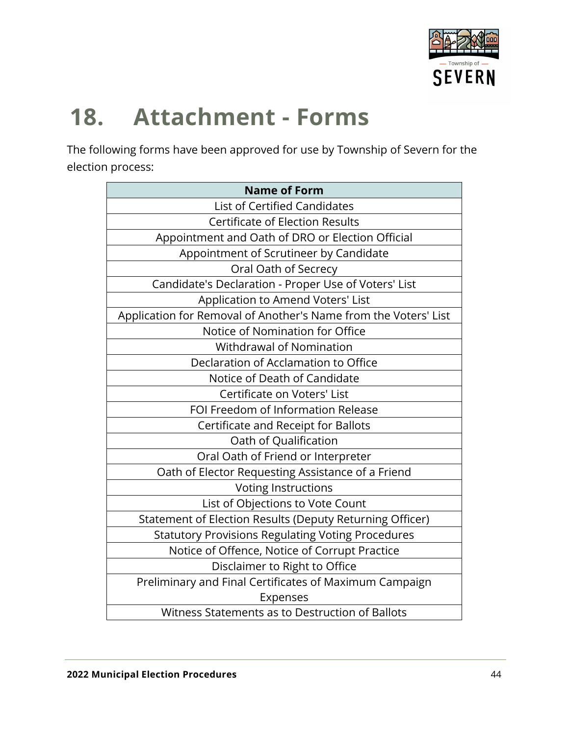

## <span id="page-43-0"></span>**18. Attachment - Forms**

The following forms have been approved for use by Township of Severn for the election process:

| <b>Name of Form</b>                                             |
|-----------------------------------------------------------------|
| List of Certified Candidates                                    |
| <b>Certificate of Election Results</b>                          |
| Appointment and Oath of DRO or Election Official                |
| Appointment of Scrutineer by Candidate                          |
| Oral Oath of Secrecy                                            |
| Candidate's Declaration - Proper Use of Voters' List            |
| Application to Amend Voters' List                               |
| Application for Removal of Another's Name from the Voters' List |
| Notice of Nomination for Office                                 |
| <b>Withdrawal of Nomination</b>                                 |
| Declaration of Acclamation to Office                            |
| Notice of Death of Candidate                                    |
| Certificate on Voters' List                                     |
| FOI Freedom of Information Release                              |
| Certificate and Receipt for Ballots                             |
| Oath of Qualification                                           |
| Oral Oath of Friend or Interpreter                              |
| Oath of Elector Requesting Assistance of a Friend               |
| <b>Voting Instructions</b>                                      |
| List of Objections to Vote Count                                |
| Statement of Election Results (Deputy Returning Officer)        |
| <b>Statutory Provisions Regulating Voting Procedures</b>        |
| Notice of Offence, Notice of Corrupt Practice                   |
| Disclaimer to Right to Office                                   |
| Preliminary and Final Certificates of Maximum Campaign          |
| Expenses                                                        |
| Witness Statements as to Destruction of Ballots                 |